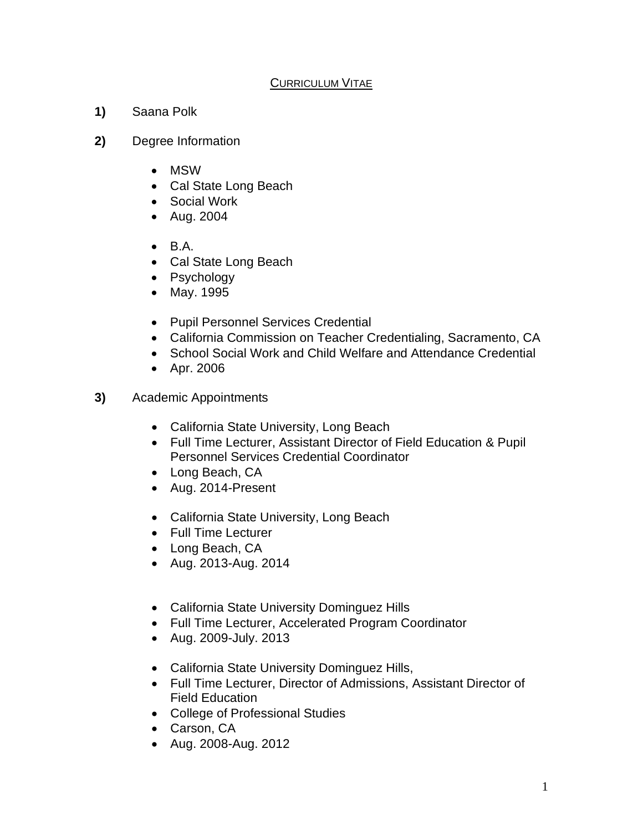## CURRICULUM VITAE

- **1)** Saana Polk
- **2)** Degree Information
	- MSW
	- Cal State Long Beach
	- Social Work
	- Aug. 2004
	- $\bullet$  B.A.
	- Cal State Long Beach
	- Psychology
	- May. 1995
	- Pupil Personnel Services Credential
	- California Commission on Teacher Credentialing, Sacramento, CA
	- School Social Work and Child Welfare and Attendance Credential
	- Apr. 2006
- **3)** Academic Appointments
	- California State University, Long Beach
	- Full Time Lecturer, Assistant Director of Field Education & Pupil Personnel Services Credential Coordinator
	- Long Beach, CA
	- Aug. 2014-Present
	- California State University, Long Beach
	- Full Time Lecturer
	- Long Beach, CA
	- Aug. 2013-Aug. 2014
	- California State University Dominguez Hills
	- Full Time Lecturer, Accelerated Program Coordinator
	- Aug. 2009-July. 2013
	- California State University Dominguez Hills,
	- Full Time Lecturer, Director of Admissions, Assistant Director of Field Education
	- College of Professional Studies
	- Carson, CA
	- Aug. 2008-Aug. 2012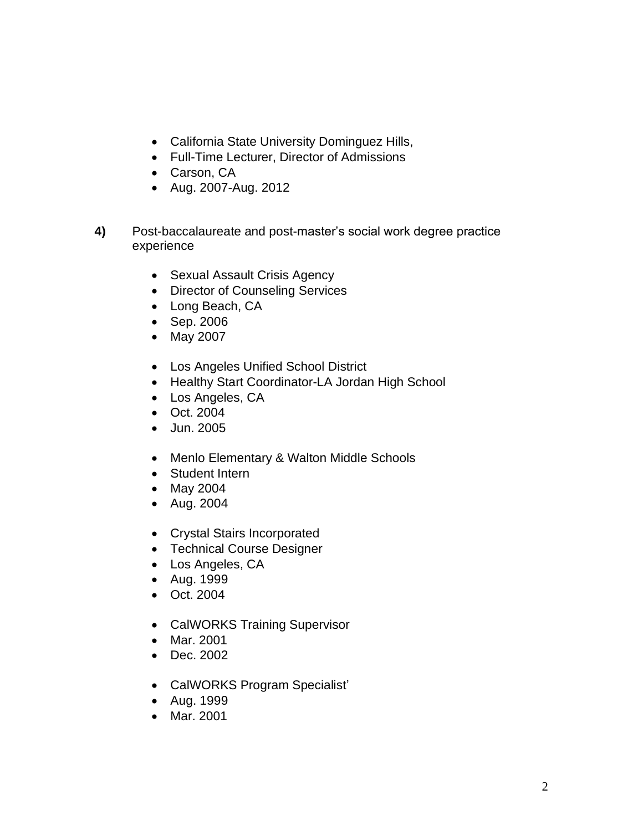- California State University Dominguez Hills,
- Full-Time Lecturer, Director of Admissions
- Carson, CA
- Aug. 2007-Aug. 2012
- **4)** Post-baccalaureate and post-master's social work degree practice experience
	- Sexual Assault Crisis Agency
	- Director of Counseling Services
	- Long Beach, CA
	- Sep. 2006
	- May 2007
	- Los Angeles Unified School District
	- Healthy Start Coordinator-LA Jordan High School
	- Los Angeles, CA
	- Oct. 2004
	- Jun. 2005
	- Menlo Elementary & Walton Middle Schools
	- Student Intern
	- May 2004
	- Aug. 2004
	- Crystal Stairs Incorporated
	- Technical Course Designer
	- Los Angeles, CA
	- Aug. 1999
	- Oct. 2004
	- CalWORKS Training Supervisor
	- Mar. 2001
	- Dec. 2002
	- CalWORKS Program Specialist'
	- Aug. 1999
	- Mar. 2001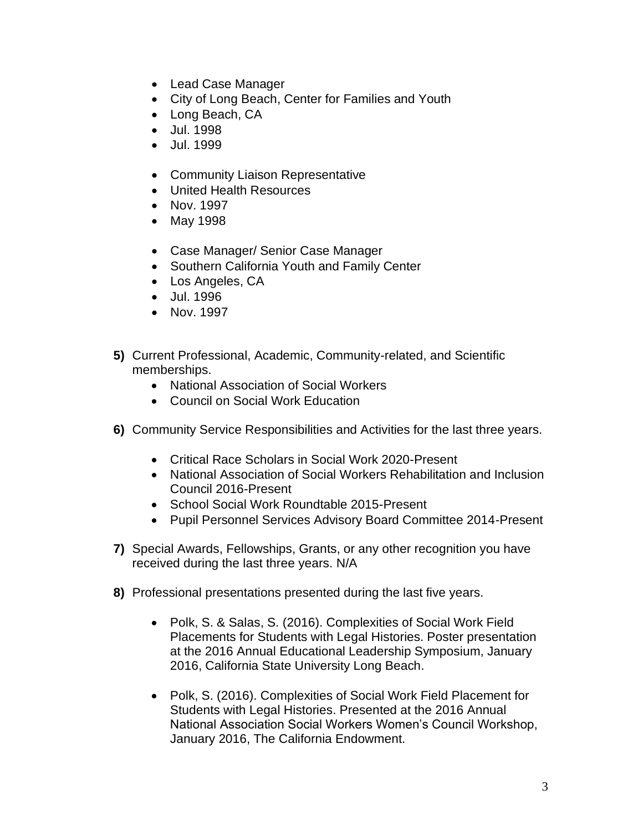- Lead Case Manager
- City of Long Beach, Center for Families and Youth
- Long Beach, CA
- Jul. 1998
- Jul. 1999
- Community Liaison Representative
- United Health Resources
- Nov. 1997
- May 1998
- Case Manager/ Senior Case Manager
- Southern California Youth and Family Center
- Los Angeles, CA
- Jul. 1996
- Nov. 1997
- **5)** Current Professional, Academic, Community-related, and Scientific memberships.
	- National Association of Social Workers
	- Council on Social Work Education
- **6)** Community Service Responsibilities and Activities for the last three years.
	- Critical Race Scholars in Social Work 2020-Present
	- National Association of Social Workers Rehabilitation and Inclusion Council 2016-Present
	- School Social Work Roundtable 2015-Present
	- Pupil Personnel Services Advisory Board Committee 2014-Present
- **7)** Special Awards, Fellowships, Grants, or any other recognition you have received during the last three years. N/A
- **8)** Professional presentations presented during the last five years.
	- Polk, S. & Salas, S. (2016). Complexities of Social Work Field Placements for Students with Legal Histories. Poster presentation at the 2016 Annual Educational Leadership Symposium, January 2016, California State University Long Beach.
	- Polk, S. (2016). Complexities of Social Work Field Placement for Students with Legal Histories. Presented at the 2016 Annual National Association Social Workers Women's Council Workshop, January 2016, The California Endowment.